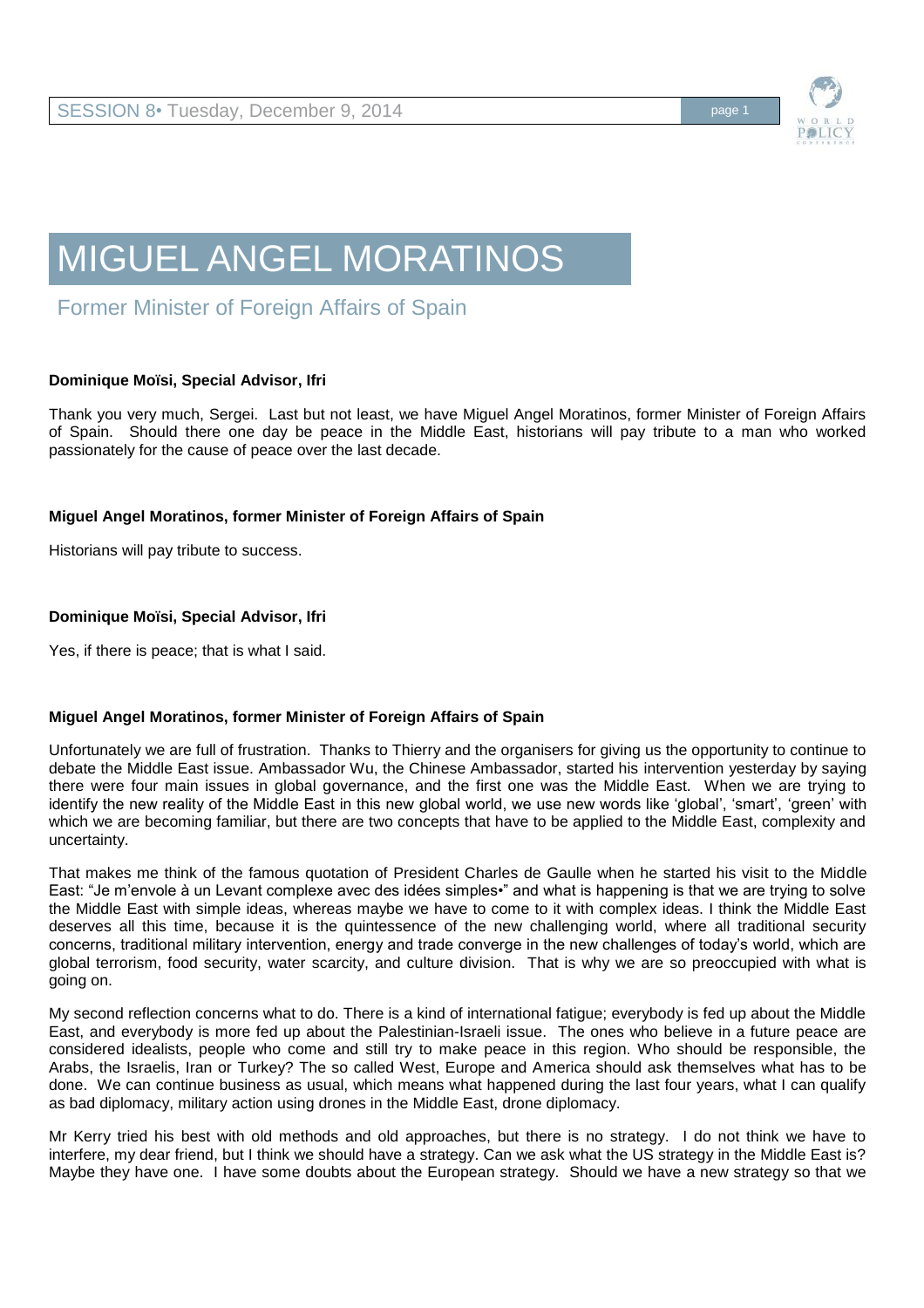

# MIGUEL ANGEL MORATINOS

Former Minister of Foreign Affairs of Spain

# **Dominique Moïsi, Special Advisor, Ifri**

Thank you very much, Sergei. Last but not least, we have Miguel Angel Moratinos, former Minister of Foreign Affairs of Spain. Should there one day be peace in the Middle East, historians will pay tribute to a man who worked passionately for the cause of peace over the last decade.

# **Miguel Angel Moratinos, former Minister of Foreign Affairs of Spain**

Historians will pay tribute to success.

# **Dominique Moïsi, Special Advisor, Ifri**

Yes, if there is peace; that is what I said.

# **Miguel Angel Moratinos, former Minister of Foreign Affairs of Spain**

Unfortunately we are full of frustration. Thanks to Thierry and the organisers for giving us the opportunity to continue to debate the Middle East issue. Ambassador Wu, the Chinese Ambassador, started his intervention yesterday by saying there were four main issues in global governance, and the first one was the Middle East. When we are trying to identify the new reality of the Middle East in this new global world, we use new words like 'global', 'smart', 'green' with which we are becoming familiar, but there are two concepts that have to be applied to the Middle East, complexity and uncertainty.

That makes me think of the famous quotation of President Charles de Gaulle when he started his visit to the Middle East: "Je m'envole à un Levant complexe avec des idées simples•" and what is happening is that we are trying to solve the Middle East with simple ideas, whereas maybe we have to come to it with complex ideas. I think the Middle East deserves all this time, because it is the quintessence of the new challenging world, where all traditional security concerns, traditional military intervention, energy and trade converge in the new challenges of today's world, which are global terrorism, food security, water scarcity, and culture division. That is why we are so preoccupied with what is going on.

My second reflection concerns what to do. There is a kind of international fatigue; everybody is fed up about the Middle East, and everybody is more fed up about the Palestinian-Israeli issue. The ones who believe in a future peace are considered idealists, people who come and still try to make peace in this region. Who should be responsible, the Arabs, the Israelis, Iran or Turkey? The so called West, Europe and America should ask themselves what has to be done. We can continue business as usual, which means what happened during the last four years, what I can qualify as bad diplomacy, military action using drones in the Middle East, drone diplomacy.

Mr Kerry tried his best with old methods and old approaches, but there is no strategy. I do not think we have to interfere, my dear friend, but I think we should have a strategy. Can we ask what the US strategy in the Middle East is? Maybe they have one. I have some doubts about the European strategy. Should we have a new strategy so that we